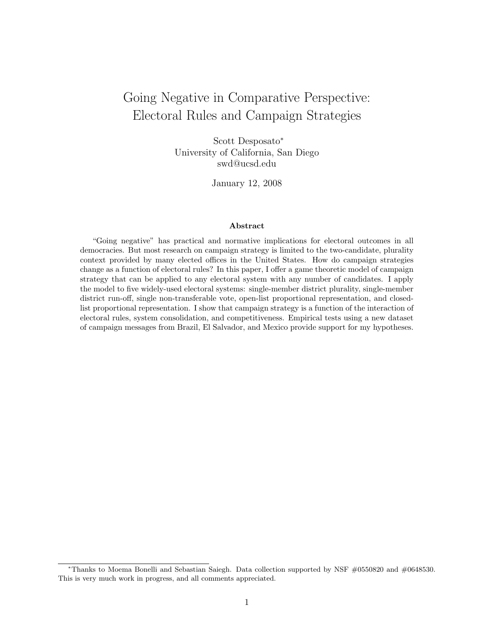# Going Negative in Comparative Perspective: Electoral Rules and Campaign Strategies

Scott Desposato<sup>∗</sup> University of California, San Diego swd@ucsd.edu

January 12, 2008

#### Abstract

"Going negative" has practical and normative implications for electoral outcomes in all democracies. But most research on campaign strategy is limited to the two-candidate, plurality context provided by many elected offices in the United States. How do campaign strategies change as a function of electoral rules? In this paper, I offer a game theoretic model of campaign strategy that can be applied to any electoral system with any number of candidates. I apply the model to five widely-used electoral systems: single-member district plurality, single-member district run-off, single non-transferable vote, open-list proportional representation, and closedlist proportional representation. I show that campaign strategy is a function of the interaction of electoral rules, system consolidation, and competitiveness. Empirical tests using a new dataset of campaign messages from Brazil, El Salvador, and Mexico provide support for my hypotheses.

<sup>∗</sup>Thanks to Moema Bonelli and Sebastian Saiegh. Data collection supported by NSF #0550820 and #0648530. This is very much work in progress, and all comments appreciated.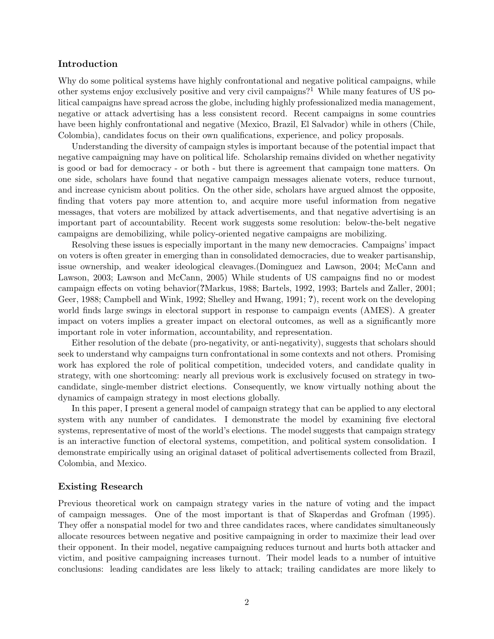### Introduction

Why do some political systems have highly confrontational and negative political campaigns, while other systems enjoy exclusively positive and very civil campaigns?<sup>1</sup> While many features of US political campaigns have spread across the globe, including highly professionalized media management, negative or attack advertising has a less consistent record. Recent campaigns in some countries have been highly confrontational and negative (Mexico, Brazil, El Salvador) while in others (Chile, Colombia), candidates focus on their own qualifications, experience, and policy proposals.

Understanding the diversity of campaign styles is important because of the potential impact that negative campaigning may have on political life. Scholarship remains divided on whether negativity is good or bad for democracy - or both - but there is agreement that campaign tone matters. On one side, scholars have found that negative campaign messages alienate voters, reduce turnout, and increase cynicism about politics. On the other side, scholars have argued almost the opposite, finding that voters pay more attention to, and acquire more useful information from negative messages, that voters are mobilized by attack advertisements, and that negative advertising is an important part of accountability. Recent work suggests some resolution: below-the-belt negative campaigns are demobilizing, while policy-oriented negative campaigns are mobilizing.

Resolving these issues is especially important in the many new democracies. Campaigns' impact on voters is often greater in emerging than in consolidated democracies, due to weaker partisanship, issue ownership, and weaker ideological cleavages.(Dominguez and Lawson, 2004; McCann and Lawson, 2003; Lawson and McCann, 2005) While students of US campaigns find no or modest campaign effects on voting behavior(?Markus, 1988; Bartels, 1992, 1993; Bartels and Zaller, 2001; Geer, 1988; Campbell and Wink, 1992; Shelley and Hwang, 1991; ?), recent work on the developing world finds large swings in electoral support in response to campaign events (AMES). A greater impact on voters implies a greater impact on electoral outcomes, as well as a significantly more important role in voter information, accountability, and representation.

Either resolution of the debate (pro-negativity, or anti-negativity), suggests that scholars should seek to understand why campaigns turn confrontational in some contexts and not others. Promising work has explored the role of political competition, undecided voters, and candidate quality in strategy, with one shortcoming: nearly all previous work is exclusively focused on strategy in twocandidate, single-member district elections. Consequently, we know virtually nothing about the dynamics of campaign strategy in most elections globally.

In this paper, I present a general model of campaign strategy that can be applied to any electoral system with any number of candidates. I demonstrate the model by examining five electoral systems, representative of most of the world's elections. The model suggests that campaign strategy is an interactive function of electoral systems, competition, and political system consolidation. I demonstrate empirically using an original dataset of political advertisements collected from Brazil, Colombia, and Mexico.

## Existing Research

Previous theoretical work on campaign strategy varies in the nature of voting and the impact of campaign messages. One of the most important is that of Skaperdas and Grofman (1995). They offer a nonspatial model for two and three candidates races, where candidates simultaneously allocate resources between negative and positive campaigning in order to maximize their lead over their opponent. In their model, negative campaigning reduces turnout and hurts both attacker and victim, and positive campaigning increases turnout. Their model leads to a number of intuitive conclusions: leading candidates are less likely to attack; trailing candidates are more likely to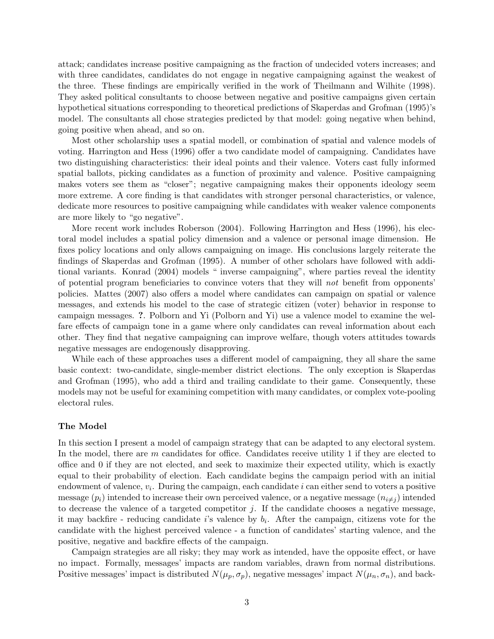attack; candidates increase positive campaigning as the fraction of undecided voters increases; and with three candidates, candidates do not engage in negative campaigning against the weakest of the three. These findings are empirically verified in the work of Theilmann and Wilhite (1998). They asked political consultants to choose between negative and positive campaigns given certain hypothetical situations corresponding to theoretical predictions of Skaperdas and Grofman (1995)'s model. The consultants all chose strategies predicted by that model: going negative when behind, going positive when ahead, and so on.

Most other scholarship uses a spatial modell, or combination of spatial and valence models of voting. Harrington and Hess (1996) offer a two candidate model of campaigning. Candidates have two distinguishing characteristics: their ideal points and their valence. Voters cast fully informed spatial ballots, picking candidates as a function of proximity and valence. Positive campaigning makes voters see them as "closer"; negative campaigning makes their opponents ideology seem more extreme. A core finding is that candidates with stronger personal characteristics, or valence, dedicate more resources to positive campaigning while candidates with weaker valence components are more likely to "go negative".

More recent work includes Roberson (2004). Following Harrington and Hess (1996), his electoral model includes a spatial policy dimension and a valence or personal image dimension. He fixes policy locations and only allows campaigning on image. His conclusions largely reiterate the findings of Skaperdas and Grofman (1995). A number of other scholars have followed with additional variants. Konrad (2004) models " inverse campaigning", where parties reveal the identity of potential program beneficiaries to convince voters that they will not benefit from opponents' policies. Mattes (2007) also offers a model where candidates can campaign on spatial or valence messages, and extends his model to the case of strategic citizen (voter) behavior in response to campaign messages. ?. Polborn and Yi (Polborn and Yi) use a valence model to examine the welfare effects of campaign tone in a game where only candidates can reveal information about each other. They find that negative campaigning can improve welfare, though voters attitudes towards negative messages are endogenously disapproving.

While each of these approaches uses a different model of campaigning, they all share the same basic context: two-candidate, single-member district elections. The only exception is Skaperdas and Grofman (1995), who add a third and trailing candidate to their game. Consequently, these models may not be useful for examining competition with many candidates, or complex vote-pooling electoral rules.

#### The Model

In this section I present a model of campaign strategy that can be adapted to any electoral system. In the model, there are m candidates for office. Candidates receive utility 1 if they are elected to office and 0 if they are not elected, and seek to maximize their expected utility, which is exactly equal to their probability of election. Each candidate begins the campaign period with an initial endowment of valence,  $v_i$ . During the campaign, each candidate  $i$  can either send to voters a positive message  $(p_i)$  intended to increase their own perceived valence, or a negative message  $(n_{i\neq j})$  intended to decrease the valence of a targeted competitor  $j$ . If the candidate chooses a negative message, it may backfire - reducing candidate is valence by  $b_i$ . After the campaign, citizens vote for the candidate with the highest perceived valence - a function of candidates' starting valence, and the positive, negative and backfire effects of the campaign.

Campaign strategies are all risky; they may work as intended, have the opposite effect, or have no impact. Formally, messages' impacts are random variables, drawn from normal distributions. Positive messages' impact is distributed  $N(\mu_p, \sigma_p)$ , negative messages' impact  $N(\mu_n, \sigma_n)$ , and back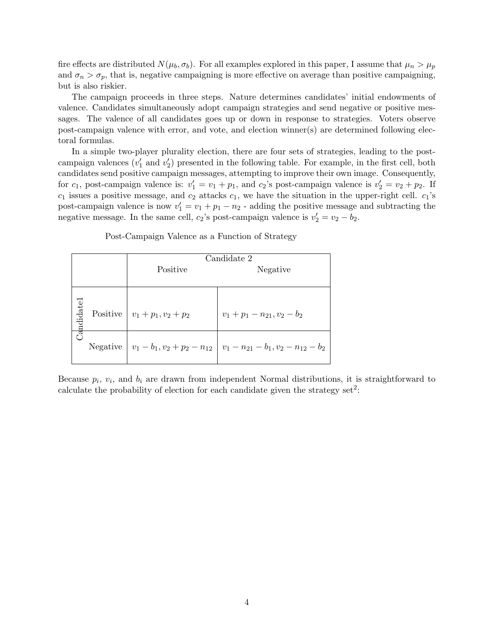fire effects are distributed  $N(\mu_b, \sigma_b)$ . For all examples explored in this paper, I assume that  $\mu_n > \mu_p$ and  $\sigma_n > \sigma_p$ , that is, negative campaigning is more effective on average than positive campaigning, but is also riskier.

The campaign proceeds in three steps. Nature determines candidates' initial endowments of valence. Candidates simultaneously adopt campaign strategies and send negative or positive messages. The valence of all candidates goes up or down in response to strategies. Voters observe post-campaign valence with error, and vote, and election winner(s) are determined following electoral formulas.

In a simple two-player plurality election, there are four sets of strategies, leading to the postcampaign valences  $(v'_1 \text{ and } v'_2)$  presented in the following table. For example, in the first cell, both candidates send positive campaign messages, attempting to improve their own image. Consequently, for  $c_1$ , post-campaign valence is:  $v'_1 = v_1 + p_1$ , and  $c_2$ 's post-campaign valence is  $v'_2 = v_2 + p_2$ . If  $c_1$  issues a positive message, and  $c_2$  attacks  $c_1$ , we have the situation in the upper-right cell.  $c_1$ 's post-campaign valence is now  $v'_1 = v_1 + p_1 - n_2$  - adding the positive message and subtracting the negative message. In the same cell,  $c_2$ 's post-campaign valence is  $v_2' = v_2 - b_2$ .

Post-Campaign Valence as a Function of Strategy

|           | Candidate 2                       |                                                                                    |  |  |  |
|-----------|-----------------------------------|------------------------------------------------------------------------------------|--|--|--|
|           | Positive                          | Negative                                                                           |  |  |  |
|           |                                   |                                                                                    |  |  |  |
| andidatel | Positive $ v_1 + p_1, v_2 + p_2 $ | $v_1 + p_1 - n_{21}, v_2 - b_2$                                                    |  |  |  |
|           |                                   | Negative $ v_1 - b_1, v_2 + p_2 - n_{12}   v_1 - n_{21} - b_1, v_2 - n_{12} - b_2$ |  |  |  |

Because  $p_i$ ,  $v_i$ , and  $b_i$  are drawn from independent Normal distributions, it is straightforward to calculate the probability of election for each candidate given the strategy set<sup>2</sup>: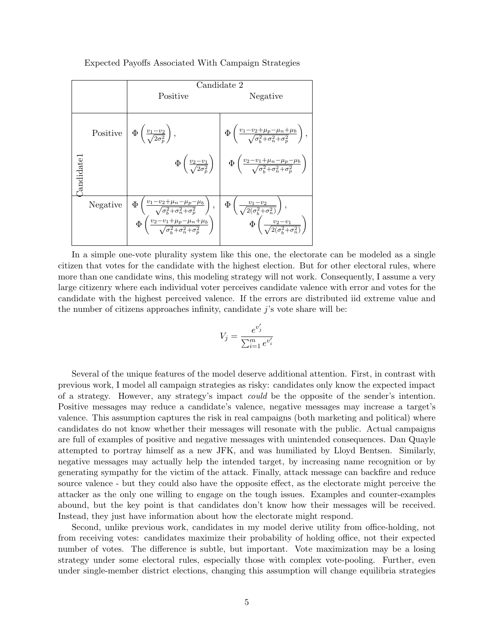Expected Payoffs Associated With Campaign Strategies

|            |          | Candidate 2                                                                                                                                                                                                                                                                                                                                 |                                                                                                                                                        |  |  |  |
|------------|----------|---------------------------------------------------------------------------------------------------------------------------------------------------------------------------------------------------------------------------------------------------------------------------------------------------------------------------------------------|--------------------------------------------------------------------------------------------------------------------------------------------------------|--|--|--|
|            |          | Positive                                                                                                                                                                                                                                                                                                                                    | Negative                                                                                                                                               |  |  |  |
|            |          | Positive $\phi\left(\frac{v_1-v_2}{\sqrt{2\sigma_n^2}}\right)$ ,                                                                                                                                                                                                                                                                            | $\Phi\left(\frac{v_1-v_2+\mu_p-\mu_n+\mu_b}{\sqrt{\sigma^2+\sigma^2_n+\sigma^2_n}}\right),$                                                            |  |  |  |
| Candidate1 |          |                                                                                                                                                                                                                                                                                                                                             | $\Phi\left(\frac{v_2-v_1}{\sqrt{2\sigma^2}}\right) \left  \Phi\left(\frac{v_2-v_1+\mu_n-\mu_p-\mu_b}{\sqrt{\sigma^2+\sigma^2+\sigma^2}}\right)\right $ |  |  |  |
|            | Negative | $\Phi\left(\frac{v_1-v_2+\mu_n-\mu_p-\mu_b}{\sqrt{\sigma_b^2+\sigma_n^2+\sigma_p^2}}\right),\quad \Phi\left(\frac{v_1-v_2}{\sqrt{2(\sigma_b^2+\sigma_n^2)}}\right),\quad \Phi\left(\frac{v_2-v_1+\mu_p-\mu_n+\mu_b}{\sqrt{\sigma_p^2+\sigma_n^2+\sigma_p^2}}\right)\quad \Phi\left(\frac{v_2-v_1}{\sqrt{2(\sigma_p^2+\sigma_n^2)}}\right).$ |                                                                                                                                                        |  |  |  |

In a simple one-vote plurality system like this one, the electorate can be modeled as a single citizen that votes for the candidate with the highest election. But for other electoral rules, where more than one candidate wins, this modeling strategy will not work. Consequently, I assume a very large citizenry where each individual voter perceives candidate valence with error and votes for the candidate with the highest perceived valence. If the errors are distributed iid extreme value and the number of citizens approaches infinity, candidate  $j$ 's vote share will be:

$$
V_j = \frac{e^{v'_j}}{\sum_{i=1}^m e^{v'_i}}
$$

Several of the unique features of the model deserve additional attention. First, in contrast with previous work, I model all campaign strategies as risky: candidates only know the expected impact of a strategy. However, any strategy's impact could be the opposite of the sender's intention. Positive messages may reduce a candidate's valence, negative messages may increase a target's valence. This assumption captures the risk in real campaigns (both marketing and political) where candidates do not know whether their messages will resonate with the public. Actual campaigns are full of examples of positive and negative messages with unintended consequences. Dan Quayle attempted to portray himself as a new JFK, and was humiliated by Lloyd Bentsen. Similarly, negative messages may actually help the intended target, by increasing name recognition or by generating sympathy for the victim of the attack. Finally, attack message can backfire and reduce source valence - but they could also have the opposite effect, as the electorate might perceive the attacker as the only one willing to engage on the tough issues. Examples and counter-examples abound, but the key point is that candidates don't know how their messages will be received. Instead, they just have information about how the electorate might respond.

Second, unlike previous work, candidates in my model derive utility from office-holding, not from receiving votes: candidates maximize their probability of holding office, not their expected number of votes. The difference is subtle, but important. Vote maximization may be a losing strategy under some electoral rules, especially those with complex vote-pooling. Further, even under single-member district elections, changing this assumption will change equilibria strategies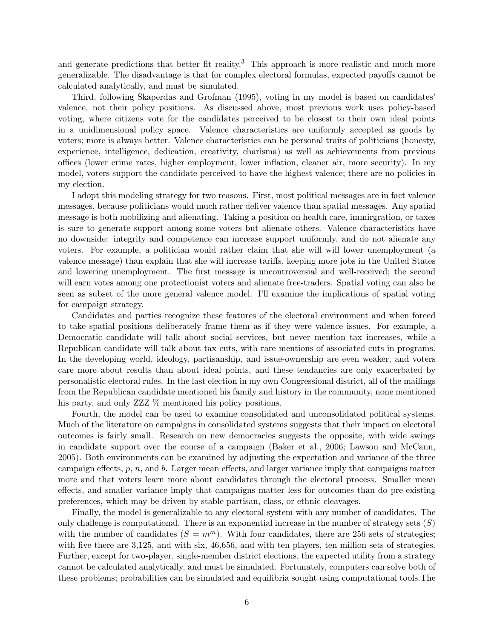and generate predictions that better fit reality.<sup>3</sup> This approach is more realistic and much more generalizable. The disadvantage is that for complex electoral formulas, expected payoffs cannot be calculated analytically, and must be simulated.

Third, following Skaperdas and Grofman (1995), voting in my model is based on candidates' valence, not their policy positions. As discussed above, most previous work uses policy-based voting, where citizens vote for the candidates perceived to be closest to their own ideal points in a unidimensional policy space. Valence characteristics are uniformly accepted as goods by voters; more is always better. Valence characteristics can be personal traits of politicians (honesty, experience, intelligence, dedication, creativity, charisma) as well as achievements from previous offices (lower crime rates, higher employment, lower inflation, cleaner air, more security). In my model, voters support the candidate perceived to have the highest valence; there are no policies in my election.

I adopt this modeling strategy for two reasons. First, most political messages are in fact valence messages, because politicians would much rather deliver valence than spatial messages. Any spatial message is both mobilizing and alienating. Taking a position on health care, immirgration, or taxes is sure to generate support among some voters but alienate others. Valence characteristics have no downside: integrity and competence can increase support uniformly, and do not alienate any voters. For example, a politician would rather claim that she will will lower unemployment (a valence message) than explain that she will increase tariffs, keeping more jobs in the United States and lowering unemployment. The first message is uncontroversial and well-received; the second will earn votes among one protectionist voters and alienate free-traders. Spatial voting can also be seen as subset of the more general valence model. I'll examine the implications of spatial voting for campaign strategy.

Candidates and parties recognize these features of the electoral environment and when forced to take spatial positions deliberately frame them as if they were valence issues. For example, a Democratic candidate will talk about social services, but never mention tax increases, while a Republican candidate will talk about tax cuts, with rare mentions of associated cuts in programs. In the developing world, ideology, partisanship, and issue-ownership are even weaker, and voters care more about results than about ideal points, and these tendancies are only exacerbated by personalistic electoral rules. In the last election in my own Congressional district, all of the mailings from the Republican candidate mentioned his family and history in the community, none mentioned his party, and only ZZZ  $\%$  mentioned his policy positions.

Fourth, the model can be used to examine consolidated and unconsolidated political systems. Much of the literature on campaigns in consolidated systems suggests that their impact on electoral outcomes is fairly small. Research on new democracies suggests the opposite, with wide swings in candidate support over the course of a campaign (Baker et al., 2006; Lawson and McCann, 2005). Both environments can be examined by adjusting the expectation and variance of the three campaign effects,  $p, n$ , and  $b$ . Larger mean effects, and larger variance imply that campaigns matter more and that voters learn more about candidates through the electoral process. Smaller mean effects, and smaller variance imply that campaigns matter less for outcomes than do pre-existing preferences, which may be driven by stable partisan, class, or ethnic cleavages.

Finally, the model is generalizable to any electoral system with any number of candidates. The only challenge is computational. There is an exponential increase in the number of strategy sets  $(S)$ with the number of candidates  $(S = m<sup>m</sup>)$ . With four candidates, there are 256 sets of strategies; with five there are 3,125, and with six, 46,656, and with ten players, ten million sets of strategies. Further, except for two-player, single-member district elections, the expected utility from a strategy cannot be calculated analytically, and must be simulated. Fortunately, computers can solve both of these problems; probabilities can be simulated and equilibria sought using computational tools.The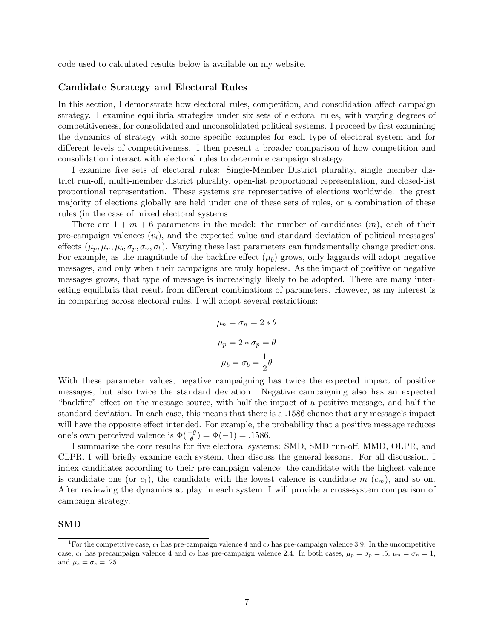code used to calculated results below is available on my website.

#### Candidate Strategy and Electoral Rules

In this section, I demonstrate how electoral rules, competition, and consolidation affect campaign strategy. I examine equilibria strategies under six sets of electoral rules, with varying degrees of competitiveness, for consolidated and unconsolidated political systems. I proceed by first examining the dynamics of strategy with some specific examples for each type of electoral system and for different levels of competitiveness. I then present a broader comparison of how competition and consolidation interact with electoral rules to determine campaign strategy.

I examine five sets of electoral rules: Single-Member District plurality, single member district run-off, multi-member district plurality, open-list proportional representation, and closed-list proportional representation. These systems are representative of elections worldwide: the great majority of elections globally are held under one of these sets of rules, or a combination of these rules (in the case of mixed electoral systems.

There are  $1 + m + 6$  parameters in the model: the number of candidates  $(m)$ , each of their pre-campaign valences  $(v_i)$ , and the expected value and standard deviation of political messages effects  $(\mu_p, \mu_n, \mu_b, \sigma_p, \sigma_n, \sigma_b)$ . Varying these last parameters can fundamentally change predictions. For example, as the magnitude of the backfire effect  $(\mu_b)$  grows, only laggards will adopt negative messages, and only when their campaigns are truly hopeless. As the impact of positive or negative messages grows, that type of message is increasingly likely to be adopted. There are many interesting equilibria that result from different combinations of parameters. However, as my interest is in comparing across electoral rules, I will adopt several restrictions:

$$
\mu_n = \sigma_n = 2 * \theta
$$

$$
\mu_p = 2 * \sigma_p = \theta
$$

$$
\mu_b = \sigma_b = \frac{1}{2}\theta
$$

With these parameter values, negative campaigning has twice the expected impact of positive messages, but also twice the standard deviation. Negative campaigning also has an expected "backfire" effect on the message source, with half the impact of a positive message, and half the standard deviation. In each case, this means that there is a .1586 chance that any message's impact will have the opposite effect intended. For example, the probability that a positive message reduces one's own perceived valence is  $\Phi(\frac{-\theta}{\theta}) = \Phi(-1) = .1586$ .

I summarize the core results for five electoral systems: SMD, SMD run-off, MMD, OLPR, and CLPR. I will briefly examine each system, then discuss the general lessons. For all discussion, I index candidates according to their pre-campaign valence: the candidate with the highest valence is candidate one (or  $c_1$ ), the candidate with the lowest valence is candidate m  $(c_m)$ , and so on. After reviewing the dynamics at play in each system, I will provide a cross-system comparison of campaign strategy.

#### SMD

<sup>&</sup>lt;sup>1</sup>For the competitive case,  $c_1$  has pre-campaign valence 4 and  $c_2$  has pre-campaign valence 3.9. In the uncompetitive case,  $c_1$  has precampaign valence 4 and  $c_2$  has pre-campaign valence 2.4. In both cases,  $\mu_p = \sigma_p = .5$ ,  $\mu_n = \sigma_n = 1$ , and  $\mu_b = \sigma_b = .25$ .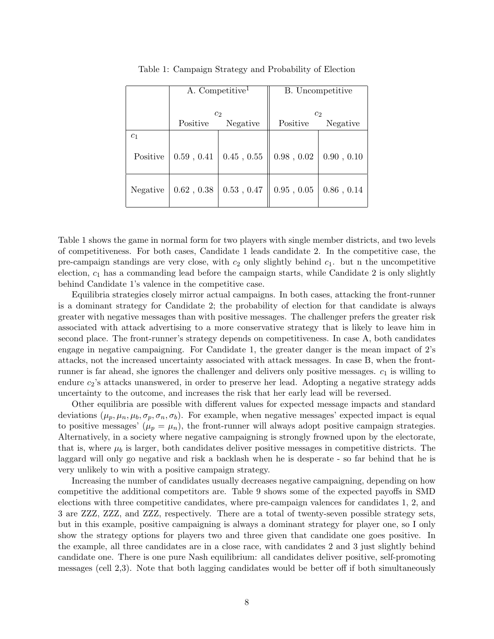|                | A. Competitive <sup>1</sup> |                   |                 | B. Uncompetitive |
|----------------|-----------------------------|-------------------|-----------------|------------------|
|                |                             | c <sub>2</sub>    |                 | c <sub>2</sub>   |
|                | Positive                    | Negative          | Positive        | Negative         |
| c <sub>1</sub> |                             |                   |                 |                  |
| Positive       | 0.59, 0.41                  | $0.45$ , $0.55$   | $0.98$ , $0.02$ | 0.90, 0.10       |
| Negative       | 0.62, 0.38                  | $0.53$ , $0.47\,$ | 0.95, 0.05      | $0.86$ , $0.14$  |

Table 1: Campaign Strategy and Probability of Election

Table 1 shows the game in normal form for two players with single member districts, and two levels of competitiveness. For both cases, Candidate 1 leads candidate 2. In the competitive case, the pre-campaign standings are very close, with  $c_2$  only slightly behind  $c_1$ . but n the uncompetitive election,  $c_1$  has a commanding lead before the campaign starts, while Candidate 2 is only slightly behind Candidate 1's valence in the competitive case.

Equilibria strategies closely mirror actual campaigns. In both cases, attacking the front-runner is a dominant strategy for Candidate 2; the probability of election for that candidate is always greater with negative messages than with positive messages. The challenger prefers the greater risk associated with attack advertising to a more conservative strategy that is likely to leave him in second place. The front-runner's strategy depends on competitiveness. In case A, both candidates engage in negative campaigning. For Candidate 1, the greater danger is the mean impact of 2's attacks, not the increased uncertainty associated with attack messages. In case B, when the frontrunner is far ahead, she ignores the challenger and delivers only positive messages.  $c_1$  is willing to endure  $c_2$ 's attacks unanswered, in order to preserve her lead. Adopting a negative strategy adds uncertainty to the outcome, and increases the risk that her early lead will be reversed.

Other equilibria are possible with different values for expected message impacts and standard deviations  $(\mu_p, \mu_n, \mu_b, \sigma_p, \sigma_n, \sigma_b)$ . For example, when negative messages' expected impact is equal to positive messages'  $(\mu_p = \mu_n)$ , the front-runner will always adopt positive campaign strategies. Alternatively, in a society where negative campaigning is strongly frowned upon by the electorate, that is, where  $\mu_b$  is larger, both candidates deliver positive messages in competitive districts. The laggard will only go negative and risk a backlash when he is desperate - so far behind that he is very unlikely to win with a positive campaign strategy.

Increasing the number of candidates usually decreases negative campaigning, depending on how competitive the additional competitors are. Table 9 shows some of the expected payoffs in SMD elections with three competitive candidates, where pre-campaign valences for candidates 1, 2, and 3 are ZZZ, ZZZ, and ZZZ, respectively. There are a total of twenty-seven possible strategy sets, but in this example, positive campaigning is always a dominant strategy for player one, so I only show the strategy options for players two and three given that candidate one goes positive. In the example, all three candidates are in a close race, with candidates 2 and 3 just slightly behind candidate one. There is one pure Nash equilibrium: all candidates deliver positive, self-promoting messages (cell 2,3). Note that both lagging candidates would be better off if both simultaneously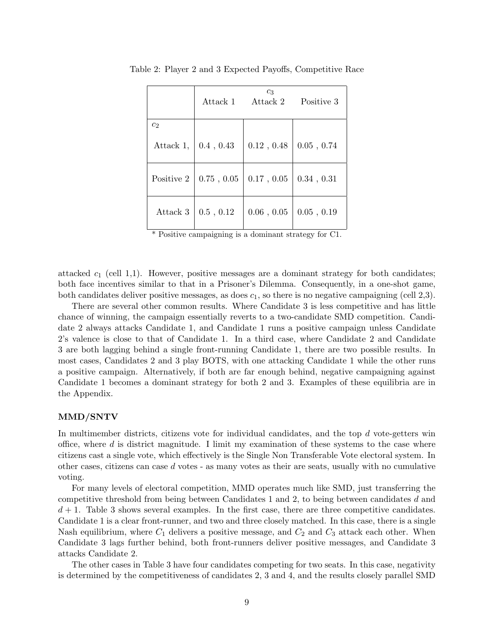|                |            | $c_3$<br>Attack 1 Attack 2 | Positive 3        |
|----------------|------------|----------------------------|-------------------|
| c <sub>2</sub> |            |                            |                   |
| Attack 1,      | 0.4, 0.43  | 0.12, 0.48                 | $0.05$ , $0.74\,$ |
| Positive 2     | 0.75, 0.05 | $0.17$ , $0.05$            | 0.34, 0.31        |
| Attack 3       | 0.5, 0.12  | 0.06, 0.05                 | $0.05$ , $0.19\,$ |

Table 2: Player 2 and 3 Expected Payoffs, Competitive Race

attacked  $c_1$  (cell 1,1). However, positive messages are a dominant strategy for both candidates; both face incentives similar to that in a Prisoner's Dilemma. Consequently, in a one-shot game, both candidates deliver positive messages, as does  $c_1$ , so there is no negative campaigning (cell 2,3).

There are several other common results. Where Candidate 3 is less competitive and has little chance of winning, the campaign essentially reverts to a two-candidate SMD competition. Candidate 2 always attacks Candidate 1, and Candidate 1 runs a positive campaign unless Candidate 2's valence is close to that of Candidate 1. In a third case, where Candidate 2 and Candidate 3 are both lagging behind a single front-running Candidate 1, there are two possible results. In most cases, Candidates 2 and 3 play BOTS, with one attacking Candidate 1 while the other runs a positive campaign. Alternatively, if both are far enough behind, negative campaigning against Candidate 1 becomes a dominant strategy for both 2 and 3. Examples of these equilibria are in the Appendix.

#### MMD/SNTV

In multimember districts, citizens vote for individual candidates, and the top d vote-getters win office, where  $d$  is district magnitude. I limit my examination of these systems to the case where citizens cast a single vote, which effectively is the Single Non Transferable Vote electoral system. In other cases, citizens can case d votes - as many votes as their are seats, usually with no cumulative voting.

For many levels of electoral competition, MMD operates much like SMD, just transferring the competitive threshold from being between Candidates 1 and 2, to being between candidates d and  $d + 1$ . Table 3 shows several examples. In the first case, there are three competitive candidates. Candidate 1 is a clear front-runner, and two and three closely matched. In this case, there is a single Nash equilibrium, where  $C_1$  delivers a positive message, and  $C_2$  and  $C_3$  attack each other. When Candidate 3 lags further behind, both front-runners deliver positive messages, and Candidate 3 attacks Candidate 2.

The other cases in Table 3 have four candidates competing for two seats. In this case, negativity is determined by the competitiveness of candidates 2, 3 and 4, and the results closely parallel SMD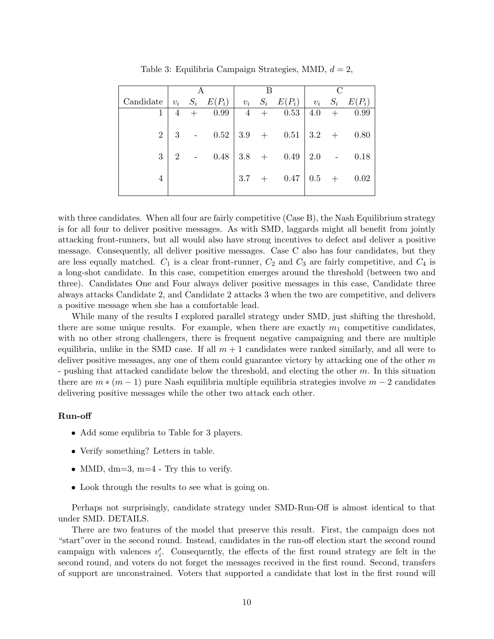|                                  |       |         |          |       |                                        | C |      |
|----------------------------------|-------|---------|----------|-------|----------------------------------------|---|------|
| Candidate $ v_i S_i E(P_i)  v_i$ |       |         |          |       | $S_i$ $E(P_i)$ $v_i$ $S_i$ $E(P_i)$    |   |      |
|                                  | $4 -$ |         | $+$ 0.99 | $4 +$ | $0.53 \mid 4.0 +$                      |   | 0.99 |
| $\overline{2}$                   |       |         |          |       | 3 - $0.52$   3.9 + $0.51$   3.2 + 0.80 |   |      |
| 3                                |       | $2 - 1$ |          |       | $0.48$   3.8 + 0.49   2.0 - 0.18       |   |      |
| 4                                |       |         |          |       | $3.7 + 0.47   0.5 + 0.02$              |   |      |

Table 3: Equilibria Campaign Strategies, MMD,  $d = 2$ ,

with three candidates. When all four are fairly competitive (Case B), the Nash Equilibrium strategy is for all four to deliver positive messages. As with SMD, laggards might all benefit from jointly attacking front-runners, but all would also have strong incentives to defect and deliver a positive message. Consequently, all deliver positive messages. Case C also has four candidates, but they are less equally matched.  $C_1$  is a clear front-runner,  $C_2$  and  $C_3$  are fairly competitive, and  $C_4$  is a long-shot candidate. In this case, competition emerges around the threshold (between two and three). Candidates One and Four always deliver positive messages in this case, Candidate three always attacks Candidate 2, and Candidate 2 attacks 3 when the two are competitive, and delivers a positive message when she has a comfortable lead.

While many of the results I explored parallel strategy under SMD, just shifting the threshold, there are some unique results. For example, when there are exactly  $m_1$  competitive candidates, with no other strong challengers, there is frequent negative campaigning and there are multiple equilibria, unlike in the SMD case. If all  $m + 1$  candidates were ranked similarly, and all were to deliver positive messages, any one of them could guarantee victory by attacking one of the other  $m$ - pushing that attacked candidate below the threshold, and electing the other  $m$ . In this situation there are  $m * (m - 1)$  pure Nash equilibria multiple equilibria strategies involve  $m - 2$  candidates delivering positive messages while the other two attack each other.

#### Run-off

- Add some equilibria to Table for 3 players.
- Verify something? Letters in table.
- MMD,  $dm=3$ ,  $m=4$  Try this to verify.
- Look through the results to see what is going on.

Perhaps not surprisingly, candidate strategy under SMD-Run-Off is almost identical to that under SMD. DETAILS.

There are two features of the model that preserve this result. First, the campaign does not "start"over in the second round. Instead, candidates in the run-off election start the second round campaign with valences  $v_i'$ . Consequently, the effects of the first round strategy are felt in the second round, and voters do not forget the messages received in the first round. Second, transfers of support are unconstrained. Voters that supported a candidate that lost in the first round will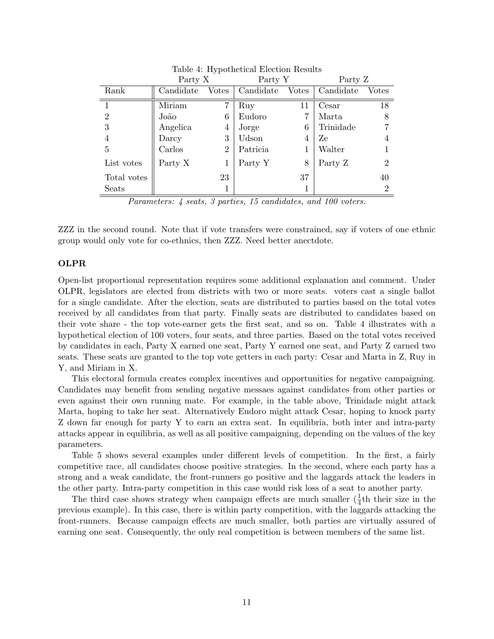|                | Party X   |                | Party Y   |       | Party Z   |                |
|----------------|-----------|----------------|-----------|-------|-----------|----------------|
| Rank           | Candidate | Votes          | Candidate | Votes | Candidate | Votes          |
|                | Miriam    | 7              | Ruy       | 11    | Cesar     | 18             |
| $\overline{2}$ | João      | 6              | Eudoro    |       | Marta     | 8              |
| 3              | Angelica  | 4              | Jorge     | 6     | Trinidade |                |
| 4              | Darcy     | 3              | Udson     | 4     | Ze        | 4              |
| 5              | Carlos    | $\overline{2}$ | Patricia  |       | Walter    |                |
| List votes     | Party X   | 1              | Party Y   | 8     | Party Z   | $\overline{2}$ |
| Total votes    |           | 23             |           | 37    |           | 40             |
| Seats          |           | 1              |           |       |           | 2              |

Table 4: Hypothetical Election Results

Parameters: 4 seats, 3 parties, 15 candidates, and 100 voters.

ZZZ in the second round. Note that if vote transfers were constrained, say if voters of one ethnic group would only vote for co-ethnics, then ZZZ. Need better anectdote.

#### OLPR

Open-list proportional representation requires some additional explanation and comment. Under OLPR, legislators are elected from districts with two or more seats. voters cast a single ballot for a single candidate. After the election, seats are distributed to parties based on the total votes received by all candidates from that party. Finally seats are distributed to candidates based on their vote share - the top vote-earner gets the first seat, and so on. Table 4 illustrates with a hypothetical election of 100 voters, four seats, and three parties. Based on the total votes received by candidates in each, Party X earned one seat, Party Y earned one seat, and Party Z earned two seats. These seats are granted to the top vote getters in each party: Cesar and Marta in Z, Ruy in Y, and Miriam in X.

This electoral formula creates complex incentives and opportunities for negative campaigning. Candidates may benefit from sending negative messaes against candidates from other parties or even against their own running mate. For example, in the table above, Trinidade might attack Marta, hoping to take her seat. Alternatively Eudoro might attack Cesar, hoping to knock party Z down far enough for party Y to earn an extra seat. In equilibria, both inter and intra-party attacks appear in equilibria, as well as all positive campaigning, depending on the values of the key parameters.

Table 5 shows several examples under different levels of competition. In the first, a fairly competitive race, all candidates choose positive strategies. In the second, where each party has a strong and a weak candidate, the front-runners go positive and the laggards attack the leaders in the other party. Intra-party competition in this case would risk loss of a seat to another party.

The third case shows strategy when campaign effects are much smaller  $(\frac{1}{4}th$  their size in the previous example). In this case, there is within party competition, with the laggards attacking the front-runners. Because campaign effects are much smaller, both parties are virtually assured of earning one seat. Consequently, the only real competition is between members of the same list.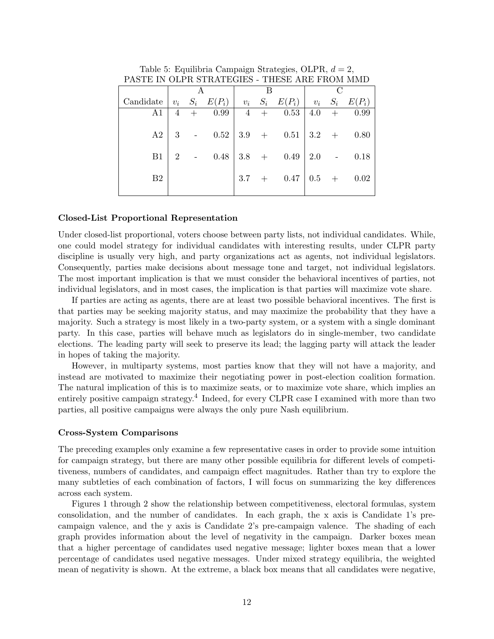| I ANTE IN VEI IL NITRAIE QUEN - THENE AILE I ILVIN MINID |   |  |                                                                   |  |  |  |  |                                   |
|----------------------------------------------------------|---|--|-------------------------------------------------------------------|--|--|--|--|-----------------------------------|
|                                                          |   |  |                                                                   |  |  |  |  |                                   |
| Candidate                                                |   |  |                                                                   |  |  |  |  |                                   |
| A1                                                       | 4 |  |                                                                   |  |  |  |  | $+$ 0.99   4 + 0.53   4.0 + 0.99  |
|                                                          |   |  |                                                                   |  |  |  |  |                                   |
| A2                                                       |   |  | 3 - $0.52$   $3.9$ + $0.51$   $3.2$ + $0.80$                      |  |  |  |  |                                   |
|                                                          |   |  |                                                                   |  |  |  |  |                                   |
| B1                                                       |   |  | 2 - $0.48 \begin{array}{ l} 3.8 \\ + 0.49 \end{array}$ 2.0 - 0.18 |  |  |  |  |                                   |
|                                                          |   |  |                                                                   |  |  |  |  |                                   |
| B <sub>2</sub>                                           |   |  |                                                                   |  |  |  |  | 3.7 + $0.47 \mid 0.5 + 0.02 \mid$ |
|                                                          |   |  |                                                                   |  |  |  |  |                                   |
|                                                          |   |  |                                                                   |  |  |  |  |                                   |

Table 5: Equilibria Campaign Strategies, OLPR,  $d = 2$ , PASTE IN OLPR STRATEGIES - THESE ARE FROM MMD

#### Closed-List Proportional Representation

Under closed-list proportional, voters choose between party lists, not individual candidates. While, one could model strategy for individual candidates with interesting results, under CLPR party discipline is usually very high, and party organizations act as agents, not individual legislators. Consequently, parties make decisions about message tone and target, not individual legislators. The most important implication is that we must consider the behavioral incentives of parties, not individual legislators, and in most cases, the implication is that parties will maximize vote share.

If parties are acting as agents, there are at least two possible behavioral incentives. The first is that parties may be seeking majority status, and may maximize the probability that they have a majority. Such a strategy is most likely in a two-party system, or a system with a single dominant party. In this case, parties will behave much as legislators do in single-member, two candidate elections. The leading party will seek to preserve its lead; the lagging party will attack the leader in hopes of taking the majority.

However, in multiparty systems, most parties know that they will not have a majority, and instead are motivated to maximize their negotiating power in post-election coalition formation. The natural implication of this is to maximize seats, or to maximize vote share, which implies an entirely positive campaign strategy.<sup>4</sup> Indeed, for every CLPR case I examined with more than two parties, all positive campaigns were always the only pure Nash equilibrium.

#### Cross-System Comparisons

The preceding examples only examine a few representative cases in order to provide some intuition for campaign strategy, but there are many other possible equilibria for different levels of competitiveness, numbers of candidates, and campaign effect magnitudes. Rather than try to explore the many subtleties of each combination of factors, I will focus on summarizing the key differences across each system.

Figures 1 through 2 show the relationship between competitiveness, electoral formulas, system consolidation, and the number of candidates. In each graph, the x axis is Candidate 1's precampaign valence, and the y axis is Candidate 2's pre-campaign valence. The shading of each graph provides information about the level of negativity in the campaign. Darker boxes mean that a higher percentage of candidates used negative message; lighter boxes mean that a lower percentage of candidates used negative messages. Under mixed strategy equilibria, the weighted mean of negativity is shown. At the extreme, a black box means that all candidates were negative,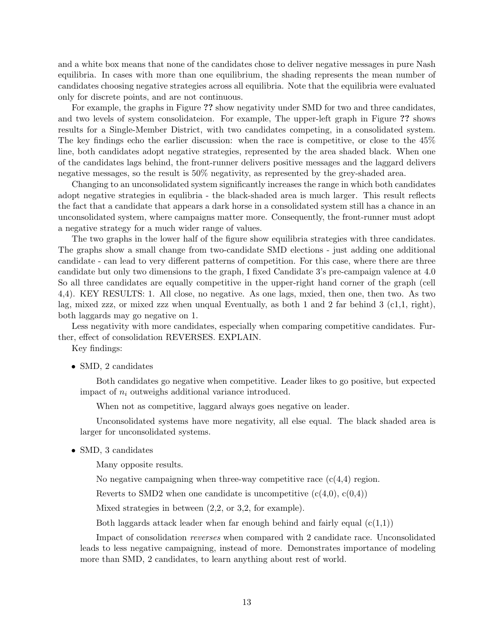and a white box means that none of the candidates chose to deliver negative messages in pure Nash equilibria. In cases with more than one equilibrium, the shading represents the mean number of candidates choosing negative strategies across all equilibria. Note that the equilibria were evaluated only for discrete points, and are not continuous.

For example, the graphs in Figure ?? show negativity under SMD for two and three candidates, and two levels of system consolidateion. For example, The upper-left graph in Figure ?? shows results for a Single-Member District, with two candidates competing, in a consolidated system. The key findings echo the earlier discussion: when the race is competitive, or close to the 45% line, both candidates adopt negative strategies, represented by the area shaded black. When one of the candidates lags behind, the front-runner delivers positive messages and the laggard delivers negative messages, so the result is 50% negativity, as represented by the grey-shaded area.

Changing to an unconsolidated system significantly increases the range in which both candidates adopt negative strategies in equlibria - the black-shaded area is much larger. This result reflects the fact that a candidate that appears a dark horse in a consolidated system still has a chance in an unconsolidated system, where campaigns matter more. Consequently, the front-runner must adopt a negative strategy for a much wider range of values.

The two graphs in the lower half of the figure show equilibria strategies with three candidates. The graphs show a small change from two-candidate SMD elections - just adding one additional candidate - can lead to very different patterns of competition. For this case, where there are three candidate but only two dimensions to the graph, I fixed Candidate 3's pre-campaign valence at 4.0 So all three candidates are equally competitive in the upper-right hand corner of the graph (cell 4,4). KEY RESULTS: 1. All close, no negative. As one lags, mxied, then one, then two. As two lag, mixed zzz, or mixed zzz when unqual Eventually, as both 1 and 2 far behind 3 (c1,1, right), both laggards may go negative on 1.

Less negativity with more candidates, especially when comparing competitive candidates. Further, effect of consolidation REVERSES. EXPLAIN.

Key findings:

• SMD, 2 candidates

Both candidates go negative when competitive. Leader likes to go positive, but expected impact of  $n_i$  outweighs additional variance introduced.

When not as competitive, laggard always goes negative on leader.

Unconsolidated systems have more negativity, all else equal. The black shaded area is larger for unconsolidated systems.

• SMD, 3 candidates

Many opposite results.

No negative campaigning when three-way competitive race  $(c(4,4)$  region.

Reverts to SMD2 when one candidate is uncompetitive  $(c(4,0), c(0,4))$ 

Mixed strategies in between (2,2, or 3,2, for example).

Both laggards attack leader when far enough behind and fairly equal  $(c(1,1))$ 

Impact of consolidation reverses when compared with 2 candidate race. Unconsolidated leads to less negative campaigning, instead of more. Demonstrates importance of modeling more than SMD, 2 candidates, to learn anything about rest of world.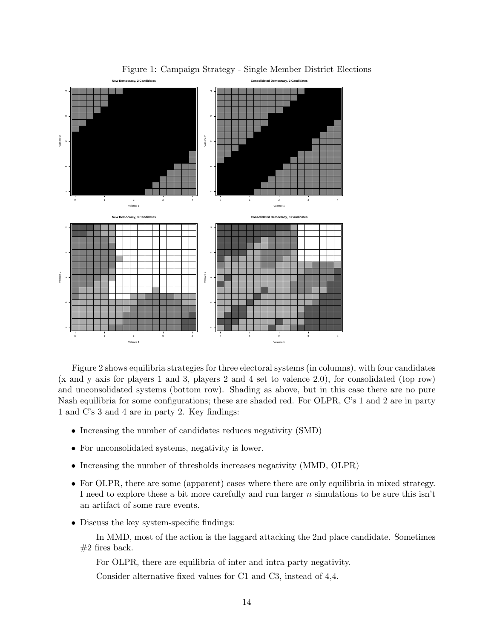

Figure 1: Campaign Strategy - Single Member District Elections

Figure 2 shows equilibria strategies for three electoral systems (in columns), with four candidates (x and y axis for players 1 and 3, players 2 and 4 set to valence 2.0), for consolidated (top row) and unconsolidated systems (bottom row). Shading as above, but in this case there are no pure Nash equilibria for some configurations; these are shaded red. For OLPR, C's 1 and 2 are in party 1 and C's 3 and 4 are in party 2. Key findings:

- Increasing the number of candidates reduces negativity (SMD)
- For unconsolidated systems, negativity is lower.
- Increasing the number of thresholds increases negativity (MMD, OLPR)
- For OLPR, there are some (apparent) cases where there are only equilibria in mixed strategy. I need to explore these a bit more carefully and run larger  $n$  simulations to be sure this isn't an artifact of some rare events.
- Discuss the key system-specific findings:

In MMD, most of the action is the laggard attacking the 2nd place candidate. Sometimes  $#2$  fires back.

For OLPR, there are equilibria of inter and intra party negativity.

Consider alternative fixed values for C1 and C3, instead of 4,4.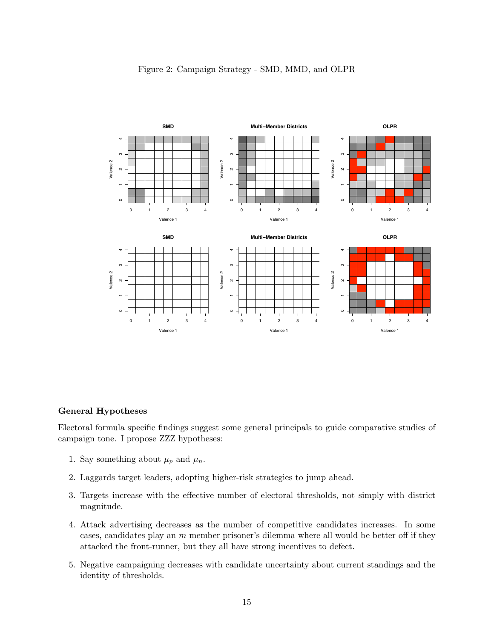

# Figure 2: Campaign Strategy - SMD, MMD, and OLPR

## General Hypotheses

Electoral formula specific findings suggest some general principals to guide comparative studies of campaign tone. I propose ZZZ hypotheses:

- 1. Say something about  $\mu_p$  and  $\mu_n$ .
- 2. Laggards target leaders, adopting higher-risk strategies to jump ahead.
- 3. Targets increase with the effective number of electoral thresholds, not simply with district magnitude.
- 4. Attack advertising decreases as the number of competitive candidates increases. In some cases, candidates play an  $m$  member prisoner's dilemma where all would be better off if they attacked the front-runner, but they all have strong incentives to defect.
- 5. Negative campaigning decreases with candidate uncertainty about current standings and the identity of thresholds.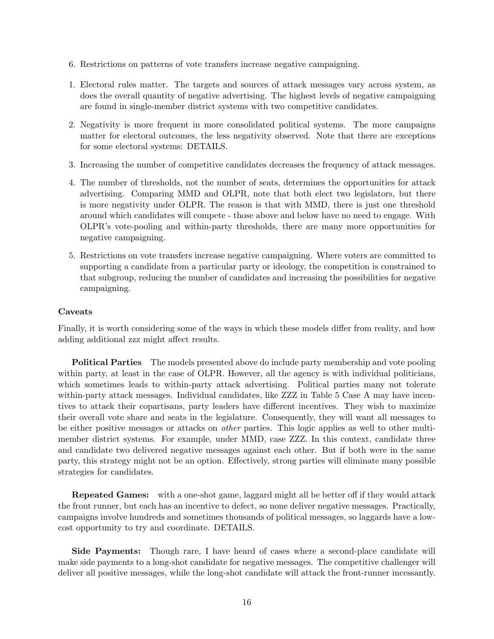- 6. Restrictions on patterns of vote transfers increase negative campaigning.
- 1. Electoral rules matter. The targets and sources of attack messages vary across system, as does the overall quantity of negative advertising. The highest levels of negative campaigning are found in single-member district systems with two competitive candidates.
- 2. Negativity is more frequent in more consolidated political systems. The more campaigns matter for electoral outcomes, the less negativity observed. Note that there are exceptions for some electoral systems: DETAILS.
- 3. Increasing the number of competitive candidates decreases the frequency of attack messages.
- 4. The number of thresholds, not the number of seats, determines the opportunities for attack advertising. Comparing MMD and OLPR, note that both elect two legislators, but there is more negativity under OLPR. The reason is that with MMD, there is just one threshold around which candidates will compete - those above and below have no need to engage. With OLPR's vote-pooling and within-party thresholds, there are many more opportunities for negative campaigning.
- 5. Restrictions on vote transfers increase negative campaigning. Where voters are committed to supporting a candidate from a particular party or ideology, the competition is constrained to that subgroup, reducing the number of candidates and increasing the possibilities for negative campaigning.

# Caveats

Finally, it is worth considering some of the ways in which these models differ from reality, and how adding additional zzz might affect results.

Political Parties The models presented above do include party membership and vote pooling within party, at least in the case of OLPR. However, all the agency is with individual politicians, which sometimes leads to within-party attack advertising. Political parties many not tolerate within-party attack messages. Individual candidates, like ZZZ in Table 5 Case A may have incentives to attack their copartisans, party leaders have different incentives. They wish to maximize their overall vote share and seats in the legislature. Consequently, they will want all messages to be either positive messages or attacks on other parties. This logic applies as well to other multimember district systems. For example, under MMD, case ZZZ. In this context, candidate three and candidate two delivered negative messages against each other. But if both were in the same party, this strategy might not be an option. Effectively, strong parties will eliminate many possible strategies for candidates.

Repeated Games: with a one-shot game, laggard might all be better off if they would attack the front runner, but each has an incentive to defect, so none deliver negative messages. Practically, campaigns involve hundreds and sometimes thousands of political messages, so laggards have a lowcost opportunity to try and coordinate. DETAILS.

Side Payments: Though rare, I have heard of cases where a second-place candidate will make side payments to a long-shot candidate for negative messages. The competitive challenger will deliver all positive messages, while the long-shot candidate will attack the front-runner incessantly.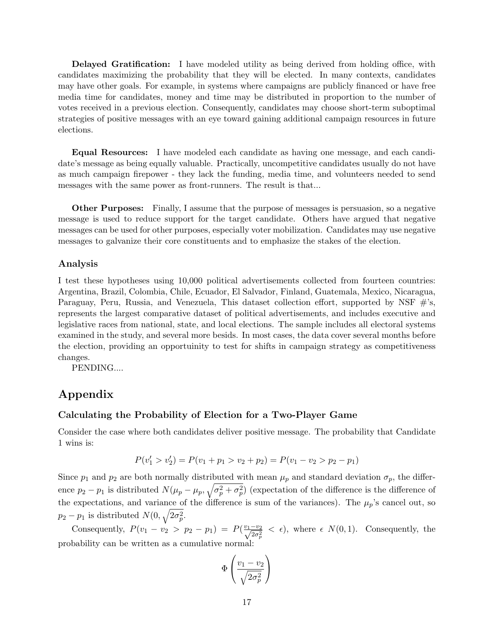Delayed Gratification: I have modeled utility as being derived from holding office, with candidates maximizing the probability that they will be elected. In many contexts, candidates may have other goals. For example, in systems where campaigns are publicly financed or have free media time for candidates, money and time may be distributed in proportion to the number of votes received in a previous election. Consequently, candidates may choose short-term suboptimal strategies of positive messages with an eye toward gaining additional campaign resources in future elections.

Equal Resources: I have modeled each candidate as having one message, and each candidate's message as being equally valuable. Practically, uncompetitive candidates usually do not have as much campaign firepower - they lack the funding, media time, and volunteers needed to send messages with the same power as front-runners. The result is that...

Other Purposes: Finally, I assume that the purpose of messages is persuasion, so a negative message is used to reduce support for the target candidate. Others have argued that negative messages can be used for other purposes, especially voter mobilization. Candidates may use negative messages to galvanize their core constituents and to emphasize the stakes of the election.

#### Analysis

I test these hypotheses using 10,000 political advertisements collected from fourteen countries: Argentina, Brazil, Colombia, Chile, Ecuador, El Salvador, Finland, Guatemala, Mexico, Nicaragua, Paraguay, Peru, Russia, and Venezuela, This dataset collection effort, supported by NSF  $\#$ 's, represents the largest comparative dataset of political advertisements, and includes executive and legislative races from national, state, and local elections. The sample includes all electoral systems examined in the study, and several more besids. In most cases, the data cover several months before the election, providing an opportuinity to test for shifts in campaign strategy as competitiveness changes.

PENDING....

# Appendix

## Calculating the Probability of Election for a Two-Player Game

Consider the case where both candidates deliver positive message. The probability that Candidate 1 wins is:

$$
P(v'_1 > v'_2) = P(v_1 + p_1 > v_2 + p_2) = P(v_1 - v_2 > p_2 - p_1)
$$

Since  $p_1$  and  $p_2$  are both normally distributed with mean  $\mu_p$  and standard deviation  $\sigma_p$ , the difference  $p_2 - p_1$  is distributed  $N(\mu_p - \mu_p, \sqrt{\sigma_p^2 + \sigma_p^2})$  (expectation of the difference is the difference of the expectations, and variance of the difference is sum of the variances). The  $\mu_p$ 's cancel out, so  $p_2 - p_1$  is distributed  $N(0, \sqrt{2\sigma_p^2})$ .

Consequently,  $P(v_1 - v_2 > p_2 - p_1) = P(\frac{v_1 - v_2}{\sqrt{2\sigma_p^2}} < \epsilon)$ , where  $\epsilon N(0, 1)$ . Consequently, the probability can be written as a cumulative normal:

$$
\Phi\left(\frac{v_1 - v_2}{\sqrt{2\sigma_p^2}}\right)
$$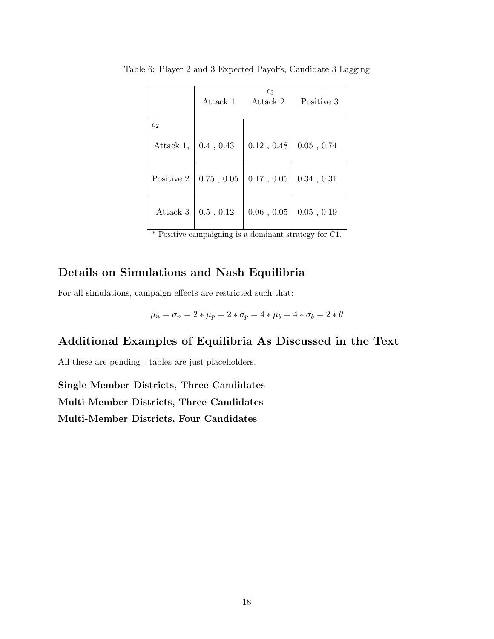|                | Attack 1   | $c_3$<br>Attack 2 | Positive 3        |
|----------------|------------|-------------------|-------------------|
| c <sub>2</sub> |            |                   |                   |
| Attack 1,      | 0.4, 0.43  | 0.12, 0.48        | $0.05$ , $0.74\,$ |
| Positive 2     | 0.75, 0.05 | 0.17, 0.05        | 0.34, 0.31        |
| Attack 3       | 0.5, 0.12  | 0.06, 0.05        | $0.05$ , $0.19\,$ |

Table 6: Player 2 and 3 Expected Payoffs, Candidate 3 Lagging

# Details on Simulations and Nash Equilibria

For all simulations, campaign effects are restricted such that:

$$
\mu_n = \sigma_n = 2 * \mu_p = 2 * \sigma_p = 4 * \mu_b = 4 * \sigma_b = 2 * \theta
$$

# Additional Examples of Equilibria As Discussed in the Text

All these are pending - tables are just placeholders.

Single Member Districts, Three Candidates Multi-Member Districts, Three Candidates Multi-Member Districts, Four Candidates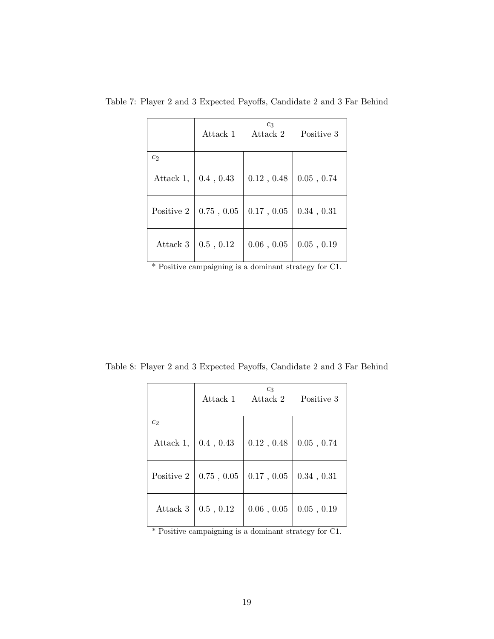|                | Attack 1   | $c_3$<br>Attack 2 | Positive 3        |
|----------------|------------|-------------------|-------------------|
| c <sub>2</sub> |            |                   |                   |
| Attack 1,      | 0.4, 0.43  | 0.12, 0.48        | $0.05$ , $0.74\,$ |
| Positive 2     | 0.75, 0.05 | $0.17$ , $0.05$   | 0.34, 0.31        |
| Attack 3       | 0.5, 0.12  | 0.06, 0.05        | $0.05$ , $0.19$   |

Table 7: Player 2 and 3 Expected Payoffs, Candidate 2 and 3 Far Behind

Table 8: Player 2 and 3 Expected Payoffs, Candidate 2 and 3 Far Behind

|                | Attack 1        | $c_3$<br>Attack 2 | Positive 3        |
|----------------|-----------------|-------------------|-------------------|
| c <sub>2</sub> |                 |                   |                   |
| Attack 1,      | 0.4, 0.43       | $0.12$ , $0.48$   | $0.05$ , $0.74\,$ |
| Positive 2     | $0.75$ , $0.05$ | $0.17$ , $0.05$   | 0.34, 0.31        |
| Attack 3       | 0.5, 0.12       | $0.06\ ,\,0.05$   | 0.05, 0.19        |

\* Positive campaigning is a dominant strategy for C1.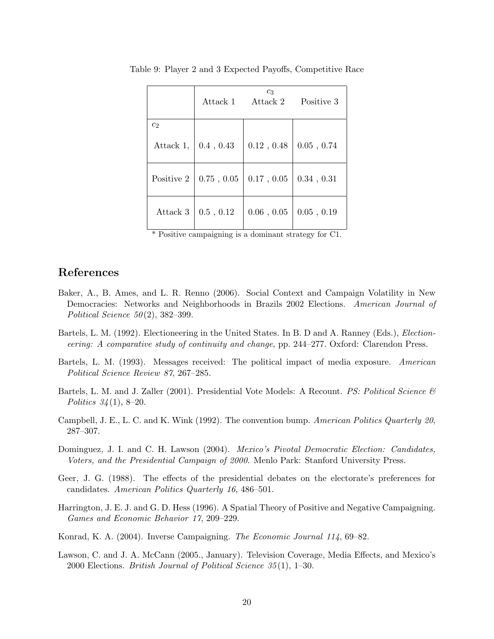|                | Attack 1   | $c_3$<br>Attack 2 | Positive 3        |
|----------------|------------|-------------------|-------------------|
| c <sub>2</sub> |            |                   |                   |
| Attack 1,      | 0.4, 0.43  | 0.12, 0.48        | $0.05$ , $0.74\,$ |
| Positive 2     | 0.75, 0.05 | $0.17$ , $0.05$   | 0.34, 0.31        |
| Attack 3       | 0.5, 0.12  | 0.06, 0.05        | $0.05$ , $0.19\,$ |

Table 9: Player 2 and 3 Expected Payoffs, Competitive Race

# References

- Baker, A., B. Ames, and L. R. Renno (2006). Social Context and Campaign Volatility in New Democracies: Networks and Neighborhoods in Brazils 2002 Elections. American Journal of Political Science  $50(2)$ , 382–399.
- Bartels, L. M. (1992). Electioneering in the United States. In B. D and A. Ranney (Eds.), Electioneering: A comparative study of continuity and change, pp. 244–277. Oxford: Clarendon Press.
- Bartels, L. M. (1993). Messages received: The political impact of media exposure. American Political Science Review 87, 267–285.
- Bartels, L. M. and J. Zaller (2001). Presidential Vote Models: A Recount. *PS: Political Science*  $\mathscr{C}$ Politics  $34(1)$ , 8–20.
- Campbell, J. E., L. C. and K. Wink (1992). The convention bump. American Politics Quarterly 20, 287–307.
- Dominguez, J. I. and C. H. Lawson (2004). *Mexico's Pivotal Democratic Election: Candidates*, Voters, and the Presidential Campaign of 2000. Menlo Park: Stanford University Press.
- Geer, J. G. (1988). The effects of the presidential debates on the electorate's preferences for candidates. American Politics Quarterly 16, 486–501.
- Harrington, J. E. J. and G. D. Hess (1996). A Spatial Theory of Positive and Negative Campaigning. Games and Economic Behavior 17, 209–229.
- Konrad, K. A. (2004). Inverse Campaigning. The Economic Journal 114, 69–82.
- Lawson, C. and J. A. McCann (2005., January). Television Coverage, Media Effects, and Mexico's 2000 Elections. British Journal of Political Science 35 (1), 1–30.